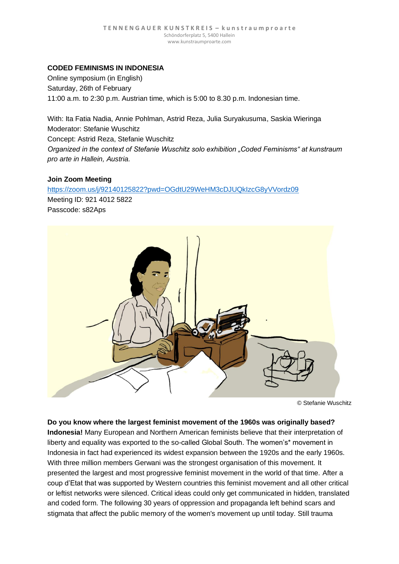# **CODED FEMINISMS IN INDONESIA**

Online symposium (in English) Saturday, 26th of February 11:00 a.m. to 2:30 p.m. Austrian time, which is 5:00 to 8.30 p.m. Indonesian time.

With: Ita Fatia Nadia, Annie Pohlman, Astrid Reza, Julia Suryakusuma, Saskia Wieringa Moderator: Stefanie Wuschitz Concept: Astrid Reza, Stefanie Wuschitz *Organized in the context of Stefanie Wuschitz solo exhibition "Coded Feminisms" at kunstraum* 

## **Join Zoom Meeting**

<https://zoom.us/j/92140125822?pwd=OGdtU29WeHM3cDJUQkIzcG8yVVordz09>

Meeting ID: 921 4012 5822 Passcode: s82Aps

*pro arte in Hallein, Austria.*



© Stefanie Wuschitz

**Do you know where the largest feminist movement of the 1960s was originally based? Indonesia!** Many European and Northern American feminists believe that their interpretation of liberty and equality was exported to the so-called Global South. The women's\* movement in Indonesia in fact had experienced its widest expansion between the 1920s and the early 1960s. With three million members Gerwani was the strongest organisation of this movement. It presented the largest and most progressive feminist movement in the world of that time. After a coup d'Etat that was supported by Western countries this feminist movement and all other critical or leftist networks were silenced. Critical ideas could only get communicated in hidden, translated and coded form. The following 30 years of oppression and propaganda left behind scars and stigmata that affect the public memory of the women's movement up until today. Still trauma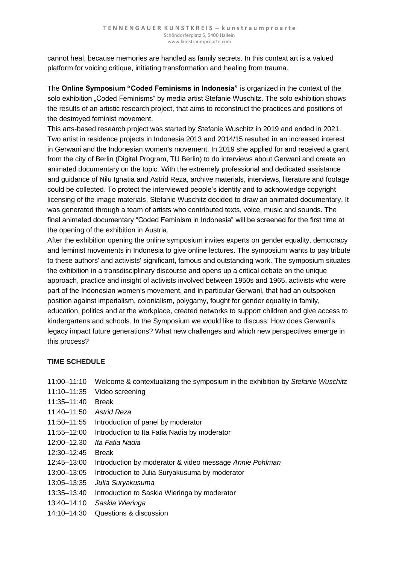cannot heal, because memories are handled as family secrets. In this context art is a valued platform for voicing critique, initiating transformation and healing from trauma.

The **Online Symposium "Coded Feminisms in Indonesia"** is organized in the context of the solo exhibition "Coded Feminisms" by media artist Stefanie Wuschitz. The solo exhibition shows the results of an artistic research project, that aims to reconstruct the practices and positions of the destroyed feminist movement.

This arts-based research project was started by Stefanie Wuschitz in 2019 and ended in 2021. Two artist in residence projects in Indonesia 2013 and 2014/15 resulted in an increased interest in Gerwani and the Indonesian women's movement. In 2019 she applied for and received a grant from the city of Berlin (Digital Program, TU Berlin) to do interviews about Gerwani and create an animated documentary on the topic. With the extremely professional and dedicated assistance and guidance of Nilu Ignatia and Astrid Reza, archive materials, interviews, literature and footage could be collected. To protect the interviewed people's identity and to acknowledge copyright licensing of the image materials, Stefanie Wuschitz decided to draw an animated documentary. It was generated through a team of artists who contributed texts, voice, music and sounds. The final animated documentary "Coded Feminism in Indonesia" will be screened for the first time at the opening of the exhibition in Austria.

After the exhibition opening the online symposium invites experts on gender equality, democracy and feminist movements in Indonesia to give online lectures. The symposium wants to pay tribute to these authors' and activists' significant, famous and outstanding work. The symposium situates the exhibition in a transdisciplinary discourse and opens up a critical debate on the unique approach, practice and insight of activists involved between 1950s and 1965, activists who were part of the Indonesian women's movement, and in particular Gerwani, that had an outspoken position against imperialism, colonialism, polygamy, fought for gender equality in family, education, politics and at the workplace, created networks to support children and give access to kindergartens and schools. In the Symposium we would like to discuss: How does Gerwani's legacy impact future generations? What new challenges and which new perspectives emerge in this process?

## **TIME SCHEDULE**

- 11:00–11:10 Welcome & contextualizing the symposium in the exhibition by *Stefanie Wuschitz*
- 11:10–11:35 Video screening
- 11:35–11:40 Break
- 11:40–11:50 *Astrid Reza*
- 11:50–11:55 Introduction of panel by moderator
- 11:55–12:00 Introduction to Ita Fatia Nadia by moderator
- 12:00–12.30 *Ita Fatia Nadia*
- 12:30–12:45 Break
- 12:45–13:00 Introduction by moderator & video message *Annie Pohlman*
- 13:00–13:05 Introduction to Julia Suryakusuma by moderator
- 13:05–13:35 *Julia Suryakusuma*
- 13:35–13:40 Introduction to Saskia Wieringa by moderator
- 13:40–14:10 *Saskia Wieringa*
- 14:10–14:30 Questions & discussion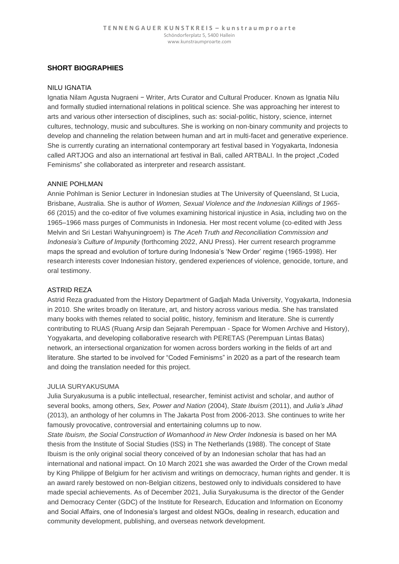## **SHORT BIOGRAPHIES**

#### NILU IGNATIA

Ignatia Nilam Agusta Nugraeni − Writer, Arts Curator and Cultural Producer. Known as Ignatia Nilu and formally studied international relations in political science. She was approaching her interest to arts and various other intersection of disciplines, such as: social-politic, history, science, internet cultures, technology, music and subcultures. She is working on non-binary community and projects to develop and channeling the relation between human and art in multi-facet and generative experience. She is currently curating an international contemporary art festival based in Yogyakarta, Indonesia called ARTJOG and also an international art festival in Bali, called ARTBALI. In the project "Coded Feminisms" she collaborated as interpreter and research assistant.

#### ANNIE POHLMAN

Annie Pohlman is Senior Lecturer in Indonesian studies at The University of Queensland, St Lucia, Brisbane, Australia. She is author of *Women, Sexual Violence and the Indonesian Killings of 1965- 66* (2015) and the co-editor of five volumes examining historical injustice in Asia, including two on the 1965–1966 mass purges of Communists in Indonesia. Her most recent volume (co-edited with Jess Melvin and Sri Lestari Wahyuningroem) is *The Aceh Truth and Reconciliation Commission and Indonesia's Culture of Impunity* (forthcoming 2022, ANU Press). Her current research programme maps the spread and evolution of torture during Indonesia's 'New Order' regime (1965-1998). Her research interests cover Indonesian history, gendered experiences of violence, genocide, torture, and oral testimony.

### ASTRID REZA

Astrid Reza graduated from the History Department of Gadjah Mada University, Yogyakarta, Indonesia in 2010. She writes broadly on literature, art, and history across various media. She has translated many books with themes related to social politic, history, feminism and literature. She is currently contributing to RUAS (Ruang Arsip dan Sejarah Perempuan - Space for Women Archive and History), Yogyakarta, and developing collaborative research with PERETAS (Perempuan Lintas Batas) network, an intersectional organization for women across borders working in the fields of art and literature. She started to be involved for "Coded Feminisms" in 2020 as a part of the research team and doing the translation needed for this project.

#### JULIA SURYAKUSUMA

Julia Suryakusuma is a public intellectual, researcher, feminist activist and scholar, and author of several books, among others*, Sex, Power and Nation* (2004), *State Ibuism* (2011), and *Julia's Jihad* (2013), an anthology of her columns in The Jakarta Post from 2006-2013. She continues to write her famously provocative, controversial and entertaining columns up to now.

*State Ibuism, the Social Construction of Womanhood in New Order Indonesia* is based on her MA thesis from the Institute of Social Studies (ISS) in The Netherlands (1988). The concept of State Ibuism is the only original social theory conceived of by an Indonesian scholar that has had an international and national impact. On 10 March 2021 she was awarded the Order of the Crown medal by King Philippe of Belgium for her activism and writings on democracy, human rights and gender. It is an award rarely bestowed on non-Belgian citizens, bestowed only to individuals considered to have made special achievements. As of December 2021, Julia Suryakusuma is the director of the Gender and Democracy Center (GDC) of the Institute for Research, Education and Information on Economy and Social Affairs, one of Indonesia's largest and oldest NGOs, dealing in research, education and community development, publishing, and overseas network development.